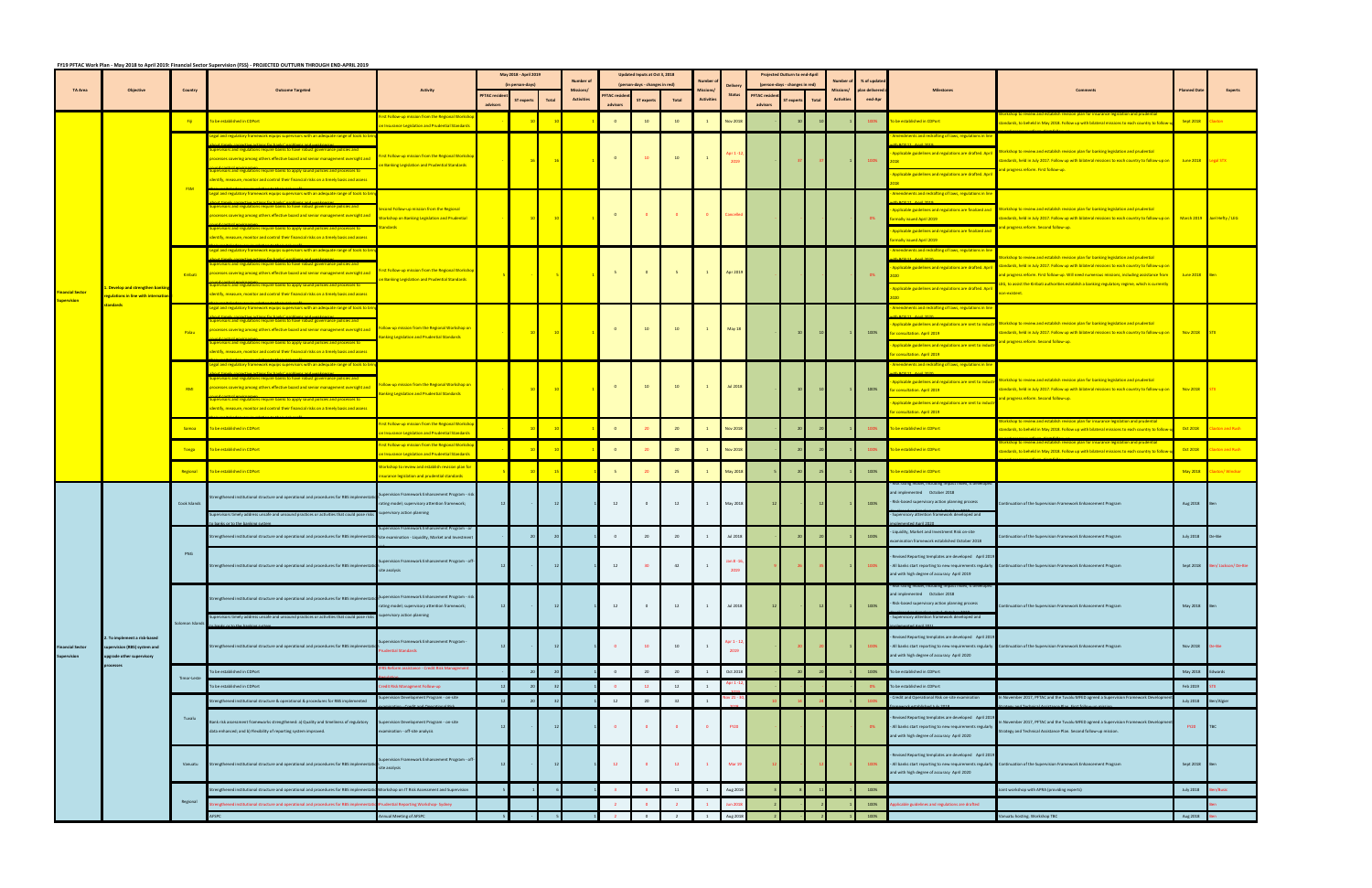|                                               | <b>Objective</b>                                                                                      |               | FY19 PFTAC Work Plan - May 2018 to April 2019: Financial Sector Supervision (FSS) - PROJECTED OUTTURN THROUGH END-APRIL 2019                                                                                                                                                                                                                                                                                                                                                                                                     |                                                                                                                                | May 2018 - April 2019                  |                   |                                       | <b>Number of</b> | Updated Inputs at Oct 3, 2018  |                   |                   |               |                       |                                | Projected Outturn to end-Apri |                  | % of updati                     |                   |                                                                                                                                                                                                                                              |                                                                                                                                                                                                                                                                                                                                                                                                                          |                  |             |
|-----------------------------------------------|-------------------------------------------------------------------------------------------------------|---------------|----------------------------------------------------------------------------------------------------------------------------------------------------------------------------------------------------------------------------------------------------------------------------------------------------------------------------------------------------------------------------------------------------------------------------------------------------------------------------------------------------------------------------------|--------------------------------------------------------------------------------------------------------------------------------|----------------------------------------|-------------------|---------------------------------------|------------------|--------------------------------|-------------------|-------------------|---------------|-----------------------|--------------------------------|-------------------------------|------------------|---------------------------------|-------------------|----------------------------------------------------------------------------------------------------------------------------------------------------------------------------------------------------------------------------------------------|--------------------------------------------------------------------------------------------------------------------------------------------------------------------------------------------------------------------------------------------------------------------------------------------------------------------------------------------------------------------------------------------------------------------------|------------------|-------------|
| <b>TA Area</b>                                |                                                                                                       | Country       | <b>Outcome Targeted</b>                                                                                                                                                                                                                                                                                                                                                                                                                                                                                                          | <b>Activity</b>                                                                                                                | (in person-days)<br><b>PFTAC</b> resid |                   | <b>Missions/</b><br><b>Activities</b> | <b>FTAC</b> resi | (person-days - changes in red) |                   | <b>Activities</b> | <b>Status</b> | <b>PFTAC resid</b>    | (person-days - changes in red) |                               | <b>Activitie</b> | <b>plan delivere</b><br>end-Apr | <b>Milestones</b> |                                                                                                                                                                                                                                              | lanned Da                                                                                                                                                                                                                                                                                                                                                                                                                |                  |             |
|                                               |                                                                                                       |               |                                                                                                                                                                                                                                                                                                                                                                                                                                                                                                                                  |                                                                                                                                | advisors                               | <b>ST</b> experts | <b>Total</b>                          |                  | advisors                       | <b>ST</b> experts | <b>Total</b>      |               |                       | advisor                        | <b>ST</b> exper               | <b>Total</b>     |                                 |                   |                                                                                                                                                                                                                                              |                                                                                                                                                                                                                                                                                                                                                                                                                          |                  |             |
| <b>Financial Sector</b>                       |                                                                                                       | Fili          | To be established in CDPort                                                                                                                                                                                                                                                                                                                                                                                                                                                                                                      | rst Follow-up mission from the Regional Worksho<br><b>Insurance Legislation and Prudential Standards</b>                       |                                        |                   |                                       |                  | $\circ$                        | 10                | 10                |               | <b>Nov 2018</b>       |                                |                               |                  |                                 | 100%              | o be established in CDPort                                                                                                                                                                                                                   | tandards, to beheld in May 2018. Follow up with bilateral missions to each country to follow-                                                                                                                                                                                                                                                                                                                            | Sept 2018        |             |
|                                               | . Develop and strengthen bankir<br>egulations in line with internati<br>tandards                      | <b>FSM</b>    | egal and regulatory framework equips supervisors with an adequate range of tools to b.<br>visors and regulations require banks to have robust governance policies and<br>rocesses covering among others effective board and senior management oversight and<br>visors and regulations require banks to apply sound policies and processes to                                                                                                                                                                                     | rst Follow-up mission from the Regional Worksh<br>In Banking Legislation and Prudential Standards                              |                                        |                   | 16                                    |                  | $\bullet$                      | 10 <sup>°</sup>   | 10                |               | 2019                  |                                |                               |                  |                                 | 100%              | Amendments and redrafting of laws, regulations in lin<br>Applicable guidelines and regulations are drafted. April<br>Applicable guidelines and regulations are drafted. April                                                                | Workshop to review and establish revision plan for banking legislation and prudential<br>tandards, held in July 2017. Follow up with bilateral missions to each country to follow-up on<br>and progress reform. First follow-up.                                                                                                                                                                                         | June 2018        | Legal STX   |
|                                               |                                                                                                       |               | dentify, measure, monitor and control their financial risks on a timely basis and assess<br>gal and regulatory framework equips supervisors with an adequate range of tools to b<br>isors and regulations require banks to have robust governance policies and<br>ocesses covering among others effective board and senior management oversight and<br>visors and regulations require banks to apply sound policies and processes to<br>dentify, measure, monitor and control their financial risks on a timely basis and assess | econd Follow-up mission from the Regional<br><b>Vorkshop on Banking Legislation and Prudential</b><br><mark>andards</mark>     |                                        | 10                | $\frac{10}{2}$                        |                  | $\bullet$                      |                   |                   |               |                       |                                |                               |                  |                                 |                   | Amendments and redrafting of laws, regulations in lir<br>Applicable guidelines and regulations are finalized and<br><b>In The Example 1 Property</b><br>Applicable guidelines and regulations are finalized and                              | orkshop to review and establish revision plan for banking legislation and prudential<br>tandards, held in July 2017. Follow up with bilateral missions to each country to follow-up on March 2019 Joel Hefty / LEG<br>and progress reform. Second follow-up.                                                                                                                                                             |                  |             |
|                                               |                                                                                                       | Kiribati      | egal and regulatory framework equips supervisors with an adequate range of tools to br<br>sors and regulations require banks to have robust governance policies and<br>processes covering among others effective board and senior management oversight and<br>visors and regulations require banks to apply sound policies and processes to<br>dentify, measure, monitor and control their financial risks on a timely basis and assess                                                                                          | irst Follow-up mission from the Regional Worksho<br>In Banking Legislation and Prudential Standards                            |                                        |                   |                                       |                  | - 5                            | $\overline{0}$    |                   |               | Apr 2019              |                                |                               |                  |                                 |                   | rmally issued April 2019<br>Amendments and redrafting of laws, regulations in line<br>Applicable guidelines and regulations are drafted. April<br>Applicable guidelines and regulations are drafted. April                                   | orkshop to review and establish revision plan for banking legislation and prudential<br>standards, held in July 2017. Follow up with bilateral missions to each country to follow-up on<br>and progress reform. First follow-up. Will need numerous missions, including assistance from<br>EG, to assist the Kiribati authorities establish a banking regulatory regime, which is currentl<br><mark>non-existent.</mark> | June 2018        |             |
|                                               |                                                                                                       | Palau         | egal and regulatory framework equips supervisors with an adequate range of tools to b.<br>isors and regulations require banks to have robust governance policies and<br>rocesses covering among others effective board and senior management oversight and<br>rvisors and regulations require banks to apply sound policies and processes to<br>dentify, measure, monitor and control their financial risks on a timely basis and assess                                                                                         | ollow-up mission from the Regional Workshop on<br>anking Legislation and Prudential Standards                                  |                                        |                   | 10                                    | $\blacksquare$   | $\bullet$                      | 10                | 10                |               | May 18                |                                |                               |                  |                                 | 100%              | Amendments and redrafting of laws, regulations in lin<br>Applicable guidelines and regulations are sent to indust<br>or consultation. April 2019<br>Applicable guidelines and regulations are sent to indus<br>r consultation. April 2019    | Vorkshop to review and establish revision plan for banking legislation and prudential<br>standards, held in July 2017. Follow up with bilateral missions to each country to follow-up on Nov 2018<br>and progress reform. Second follow-up.                                                                                                                                                                              |                  |             |
|                                               |                                                                                                       | RMI           | egal and regulatory framework equips supervisors with an adequate range of tools to bri.<br>ors and regulations require banks to have robust governance policies and<br>rocesses covering among others effective board and senior management oversight and<br>rvisors and regulations require banks to apply sound policies and processes to<br>dentify, measure, monitor and control their financial risks on a timely basis and assess                                                                                         | ollow-up mission from the Regional Workshop on<br>anking Legislation and Prudential Standards                                  |                                        |                   |                                       |                  | $\bullet$                      | 10                | 10                |               | <b>Jul 2018</b>       |                                |                               |                  |                                 | 100%              | Amendments and redrafting of laws, regulations in lin<br>Applicable guidelines and regulations are sent to industr<br>for consultation. April 2019<br>Applicable guidelines and regulations are sent to indust<br>r consultation. April 2019 | Workshop to review and establish revision plan for banking legislation and prudential<br>tandards, held in July 2017. Follow up with bilateral missions to each country to follow-up on<br>and progress reform. Second follow-up.                                                                                                                                                                                        | Nov 2018         |             |
|                                               |                                                                                                       | Samoa         | To be established in CDPort                                                                                                                                                                                                                                                                                                                                                                                                                                                                                                      | i <mark>rst Follow-up mission from the Regional Workshop</mark><br><b>Insurance Legislation and Prudential Standards</b>       |                                        |                   |                                       |                  | $\bullet$                      |                   | 20                |               | <b>Nov 2018</b>       |                                |                               |                  |                                 | 100%              | To be established in CDPort                                                                                                                                                                                                                  | eview and establish revision plan for insurance legislation and prudentia<br>andards, to beheld in May 2018. Follow up with bilateral missions to each country to follov                                                                                                                                                                                                                                                 | Oct 2018         | on and Rush |
|                                               |                                                                                                       | <b>Tonga</b>  | To be established in CDPort                                                                                                                                                                                                                                                                                                                                                                                                                                                                                                      | rst Follow-up mission from the Regional Worksh<br><b>Insurance Legislation and Prudential Standards</b>                        |                                        |                   |                                       |                  | $\overline{\mathbf{0}}$        |                   | 20                |               | <b>Nov 2018</b>       |                                |                               |                  |                                 |                   | be established in CDPort                                                                                                                                                                                                                     | p to review and establish revision plan for insurance legislation and prudential<br>andards, to beheld in May 2018. Follow up with bilateral missions to each country to follow                                                                                                                                                                                                                                          | Oct 2018         | on and Rush |
|                                               |                                                                                                       | Regional      | To be established in CDPort                                                                                                                                                                                                                                                                                                                                                                                                                                                                                                      | orkshop to review and establish revision plan for<br>surance legislation and prudential standards                              |                                        |                   |                                       |                  |                                |                   | 25                |               | May 2018              |                                |                               |                  |                                 | 100%              | o be established in CDPort                                                                                                                                                                                                                   |                                                                                                                                                                                                                                                                                                                                                                                                                          | <b>May 2018</b>  | on/Windsor  |
| <b>Financial Sector</b><br><b>Supervision</b> | . To implement a risk-based<br>supervision (RBS) system and<br>upgrade other supervisory<br>processes | Cook Islands  | Strengthened institutional structure and operational and procedures for RBS implementati<br>rvisors timely address unsafe and unsound practices or activities that could pose risks                                                                                                                                                                                                                                                                                                                                              | upervision Framework Enhancement Program - ris<br>ating model; supervisory attention framework;<br>pervisory action planning   | 12                                     |                   |                                       |                  | 12                             | $\mathbf{0}$      | 12                |               | May 2018              |                                |                               |                  |                                 | 100%              | sk rating model, including imp<br>and implemented  October 2018<br>Risk-based supervisory action planning process<br>upervisory attention framework developed and                                                                            | ontinuation of the Supervision Framework Enhancement Program                                                                                                                                                                                                                                                                                                                                                             | Aug 2018         |             |
|                                               |                                                                                                       |               | Strengthened institutional structure and operational and procedures for RBS implementat                                                                                                                                                                                                                                                                                                                                                                                                                                          | pervision Framework Enhancement Program - o<br>site examination - Liquidity, Market and Investmer                              |                                        |                   |                                       |                  | $\circ$                        | 20                | 20                |               | Jul 2018              |                                |                               |                  |                                 | 100%              | iquidity, Market and Investment Risk on-site<br>amination framework established October 2018                                                                                                                                                 | ntinuation of the Supervision Framework Enhancement Program                                                                                                                                                                                                                                                                                                                                                              | <b>July 2018</b> | De-Bie      |
|                                               |                                                                                                       | PNG           | Strengthened institutional structure and operational and procedures for RBS implementat                                                                                                                                                                                                                                                                                                                                                                                                                                          | Supervision Framework Enhancement Program - off-<br>site analysis                                                              |                                        |                   |                                       |                  |                                |                   |                   |               |                       |                                |                               |                  |                                 |                   | Revised Reporting templates are developed April 2019<br>and with high degree of accuracy April 2019                                                                                                                                          | - All banks start reporting to new requirements regularly Continuation of the Supervision Framework Enhancement Program                                                                                                                                                                                                                                                                                                  | Sept 2018        |             |
|                                               |                                                                                                       | Solomon Islan | Strengthened institutional structure and operational and procedures for RBS implementation<br>ervisors timely address unsafe and unsound practices or activities that could pose risks                                                                                                                                                                                                                                                                                                                                           | Supervision Framework Enhancement Program - ri<br>ating model; supervisory attention framework;<br>supervisory action planning | 12                                     |                   |                                       |                  | 12                             | $\circ$           | 12                |               | Jul 2018              |                                |                               |                  |                                 | 100%              | nd implemented  October 2018<br>Risk-based supervisory action planning process<br>upervisory attention framework developed and                                                                                                               | ntinuation of the Supervision Framework Enhancement Program                                                                                                                                                                                                                                                                                                                                                              | May 2018         |             |
|                                               |                                                                                                       |               | Strengthened institutional structure and operational and procedures for RBS implementat                                                                                                                                                                                                                                                                                                                                                                                                                                          | upervision Framework Enhancement Program -<br>udential Standards                                                               | 12                                     |                   |                                       |                  | $\Omega$                       | $10-10$           |                   |               | Apr 1 - 12,<br>2019   |                                |                               |                  |                                 | 100%              | Revised Reporting templates are developed April 2019<br>and with high degree of accuracy April 2020                                                                                                                                          | - All banks start reporting to new requirements regularly Continuation of the Supervision Framework Enhancement Program                                                                                                                                                                                                                                                                                                  | Nov 2018         | De-Bie      |
|                                               |                                                                                                       | Timor-Leste   | To be established in CDPort                                                                                                                                                                                                                                                                                                                                                                                                                                                                                                      | FRS Reform assistance - Credit Risk Managemen                                                                                  |                                        |                   |                                       |                  | $\overline{0}$                 | 20                | 20                |               | Oct 2018              |                                |                               |                  |                                 | 100%              | To be established in CDPort                                                                                                                                                                                                                  |                                                                                                                                                                                                                                                                                                                                                                                                                          | May 2018         | dwards      |
|                                               |                                                                                                       |               | To be established in CDPort                                                                                                                                                                                                                                                                                                                                                                                                                                                                                                      | edit Risk Managment Follow-up<br>pervision Development Program - on-site                                                       |                                        |                   |                                       |                  | $\overline{0}$                 | <b>12</b>         | 12                |               | Apr 1                 |                                |                               |                  |                                 |                   | To be established in CDPort<br>Credit and Operational Risk on-site examination                                                                                                                                                               | November 2017, PFTAC and the Tuvalu MFED agreed a Supervision Framework Develop                                                                                                                                                                                                                                                                                                                                          | Feb 2019         |             |
|                                               |                                                                                                       | Tuvalu        | rengthened institutional structure & operational & procedures for RBS implemented                                                                                                                                                                                                                                                                                                                                                                                                                                                |                                                                                                                                |                                        |                   |                                       |                  | 12                             | 20                | 32                | <sup>1</sup>  | $\mathsf{lov}\, 21$ - |                                |                               |                  |                                 |                   |                                                                                                                                                                                                                                              |                                                                                                                                                                                                                                                                                                                                                                                                                          | <b>July 2018</b> | Ben/Algier  |
|                                               |                                                                                                       |               | Bank risk assessment frameworks strengthened: a) Quality and timeliness of regulatory<br>data enhanced; and b) Flexibility of reporting system improved.                                                                                                                                                                                                                                                                                                                                                                         | pervision Development Program - on-site<br>camination - off-site analysis                                                      | 12                                     |                   |                                       |                  | $\bullet$                      | $\Omega$          |                   |               | <b>FY20</b>           |                                |                               |                  |                                 |                   | Revised Reporting templates are developed April 2019<br>- All banks start reporting to new requirements regularly<br>and with high degree of accuracy April 2020                                                                             | November 2017, PFTAC and the Tuvalu MFED agreed a Supervision Framework Developme<br>Strategy and Technical Assistance Plan. Second follow-up mission.                                                                                                                                                                                                                                                                   | <b>FY20</b>      | <b>TBC</b>  |
|                                               |                                                                                                       | Vanuatu       | Strengthened institutional structure and operational and procedures for RBS implemental                                                                                                                                                                                                                                                                                                                                                                                                                                          | upervision Framework Enhancement Program - off<br>site analysis                                                                | 12                                     |                   |                                       |                  | 12                             |                   | 12                |               | Mar 1                 |                                |                               |                  |                                 |                   | Revised Reporting templates are developed April 2019<br>and with high degree of accuracy April 2020                                                                                                                                          | - All banks start reporting to new requirements regularly Continuation of the Supervision Framework Enhancement Program                                                                                                                                                                                                                                                                                                  | Sept 2018 Ben    |             |
|                                               |                                                                                                       |               | trengthened institutional structure and operational and procedures for RBS impleme                                                                                                                                                                                                                                                                                                                                                                                                                                               | orkshop on IT Risk Assessment and Supervision                                                                                  |                                        |                   |                                       |                  |                                |                   | 11                | $\mathbf{1}$  | Aug 2018              |                                |                               |                  |                                 | 100%              |                                                                                                                                                                                                                                              | bint workshop with APRA (providing experts)                                                                                                                                                                                                                                                                                                                                                                              | <b>July 2018</b> | n/Busic     |
|                                               |                                                                                                       | Regional      | rengthened institutional structure and operational and procedures for RBS impleme                                                                                                                                                                                                                                                                                                                                                                                                                                                | dential Reporting Workshop-Sydney                                                                                              |                                        |                   |                                       |                  |                                |                   |                   |               | <b>Jun 201</b>        |                                |                               |                  |                                 | 100%              | pplicable guidelines and regulations are drafted                                                                                                                                                                                             |                                                                                                                                                                                                                                                                                                                                                                                                                          |                  |             |
|                                               |                                                                                                       |               | <b>AFSPC</b>                                                                                                                                                                                                                                                                                                                                                                                                                                                                                                                     | nual Meeting of AFSPC                                                                                                          |                                        |                   |                                       |                  |                                | $\overline{0}$    | $\overline{2}$    |               | 1 Aug 2018            |                                |                               |                  |                                 | 100%              |                                                                                                                                                                                                                                              | anuatu hosting. Workshop TBC                                                                                                                                                                                                                                                                                                                                                                                             | Aug 2018         |             |